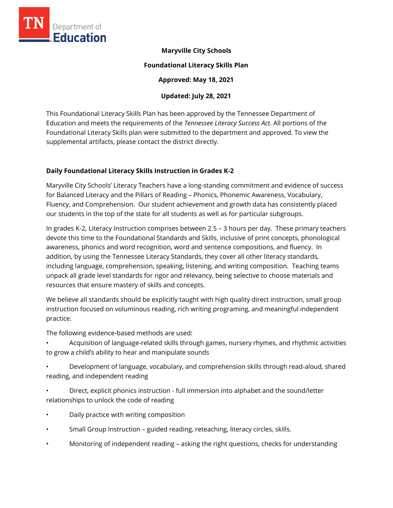

#### **Maryville City Schools**

#### **Foundational Literacy Skills Plan**

**Approved: May 18, 2021** 

## **Updated: July 28, 2021**

This Foundational Literacy Skills Plan has been approved by the Tennessee Department of Education and meets the requirements of the *Tennessee Literacy Success Act.* All portions of the Foundational Literacy Skills plan were submitted to the department and approved. To view the supplemental artifacts, please contact the district directly.

## **Daily Foundational Literacy Skills Instruction in Grades K-2**

Maryville City Schools' Literacy Teachers have a long-standing commitment and evidence of success for Balanced Literacy and the Pillars of Reading – Phonics, Phonemic Awareness, Vocabulary, Fluency, and Comprehension. Our student achievement and growth data has consistently placed our students in the top of the state for all students as well as for particular subgroups.

In grades K-2, Literacy Instruction comprises between 2.5 – 3 hours per day. These primary teachers devote this time to the Foundational Standards and Skills, inclusive of print concepts, phonological awareness, phonics and word recognition, word and sentence compositions, and fluency. In addition, by using the Tennessee Literacy Standards, they cover all other literacy standards, including language, comprehension, speaking, listening, and writing composition. Teaching teams unpack all grade level standards for rigor and relevancy, being selective to choose materials and resources that ensure mastery of skills and concepts.

We believe all standards should be explicitly taught with high quality direct instruction, small group instruction focused on voluminous reading, rich writing programing, and meaningful independent practice.

The following evidence-based methods are used:

- Acquisition of language-related skills through games, nursery rhymes, and rhythmic activities to grow a child's ability to hear and manipulate sounds
- Development of language, vocabulary, and comprehension skills through read-aloud, shared reading, and independent reading
- Direct, explicit phonics instruction full immersion into alphabet and the sound/letter relationships to unlock the code of reading
- Daily practice with writing composition
- Small Group Instruction guided reading, reteaching, literacy circles, skills.
- Monitoring of independent reading asking the right questions, checks for understanding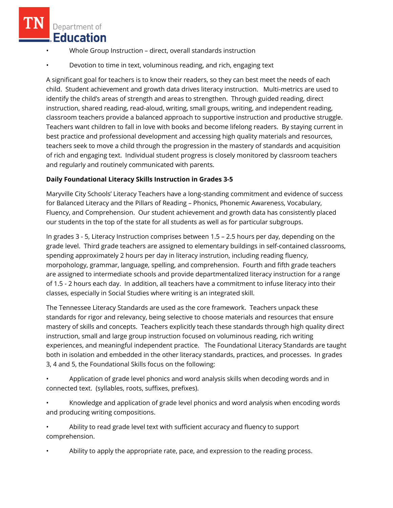- Whole Group Instruction direct, overall standards instruction
- Devotion to time in text, voluminous reading, and rich, engaging text

A significant goal for teachers is to know their readers, so they can best meet the needs of each child. Student achievement and growth data drives literacy instruction. Multi-metrics are used to identify the child's areas of strength and areas to strengthen. Through guided reading, direct instruction, shared reading, read-aloud, writing, small groups, writing, and independent reading, classroom teachers provide a balanced approach to supportive instruction and productive struggle. Teachers want children to fall in love with books and become lifelong readers. By staying current in best practice and professional development and accessing high quality materials and resources, teachers seek to move a child through the progression in the mastery of standards and acquisition of rich and engaging text. Individual student progress is closely monitored by classroom teachers and regularly and routinely communicated with parents.

#### **Daily Foundational Literacy Skills Instruction in Grades 3-5**

Maryville City Schools' Literacy Teachers have a long-standing commitment and evidence of success for Balanced Literacy and the Pillars of Reading – Phonics, Phonemic Awareness, Vocabulary, Fluency, and Comprehension. Our student achievement and growth data has consistently placed our students in the top of the state for all students as well as for particular subgroups.

In grades 3 - 5, Literacy Instruction comprises between 1.5 – 2.5 hours per day, depending on the grade level. Third grade teachers are assigned to elementary buildings in self-contained classrooms, spending approximately 2 hours per day in literacy instrution, including reading fluency, morpohology, grammar, language, spelling, and comprehension. Fourth and fifth grade teachers are assigned to intermediate schools and provide departmentalized literacy instruction for a range of 1.5 - 2 hours each day. In addition, all teachers have a commitment to infuse literacy into their classes, especially in Social Studies where writing is an integrated skill.

The Tennessee Literacy Standards are used as the core framework. Teachers unpack these standards for rigor and relevancy, being selective to choose materials and resources that ensure mastery of skills and concepts. Teachers explicitly teach these standards through high quality direct instruction, small and large group instruction focused on voluminous reading, rich writing experiences, and meaningful independent practice. The Foundational Literacy Standards are taught both in isolation and embedded in the other literacy standards, practices, and processes. In grades 3, 4 and 5, the Foundational Skills focus on the following:

• Application of grade level phonics and word analysis skills when decoding words and in connected text. (syllables, roots, suffixes, prefixes).

• Knowledge and application of grade level phonics and word analysis when encoding words and producing writing compositions.

• Ability to read grade level text with sufficient accuracy and fluency to support comprehension.

• Ability to apply the appropriate rate, pace, and expression to the reading process.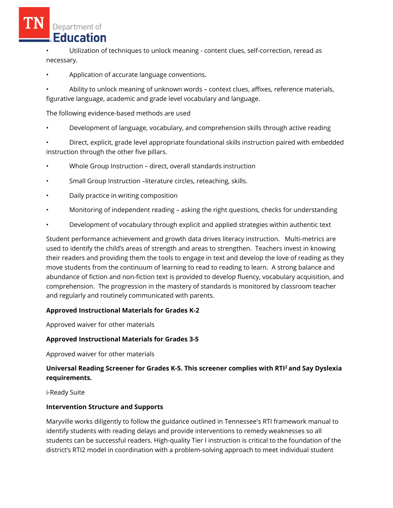• Utilization of techniques to unlock meaning - content clues, self-correction, reread as necessary.

• Application of accurate language conventions.

• Ability to unlock meaning of unknown words – context clues, affixes, reference materials, figurative language, academic and grade level vocabulary and language.

The following evidence-based methods are used

• Development of language, vocabulary, and comprehension skills through active reading

• Direct, explicit, grade level appropriate foundational skills instruction paired with embedded instruction through the other five pillars.

- Whole Group Instruction direct, overall standards instruction
- Small Group Instruction –literature circles, reteaching, skills.
- Daily practice in writing composition
- Monitoring of independent reading asking the right questions, checks for understanding
- Development of vocabulary through explicit and applied strategies within authentic text

Student performance achievement and growth data drives literacy instruction. Multi-metrics are used to identify the child's areas of strength and areas to strengthen. Teachers invest in knowing their readers and providing them the tools to engage in text and develop the love of reading as they move students from the continuum of learning to read to reading to learn. A strong balance and abundance of fiction and non-fiction text is provided to develop fluency, vocabulary acquisition, and comprehension. The progression in the mastery of standards is monitored by classroom teacher and regularly and routinely communicated with parents.

## **Approved Instructional Materials for Grades K-2**

Approved waiver for other materials

## **Approved Instructional Materials for Grades 3-5**

Approved waiver for other materials

# **Universal Reading Screener for Grades K-5. This screener complies with RTI<sup>2</sup>and Say Dyslexia requirements.**

i-Ready Suite

## **Intervention Structure and Supports**

Maryville works diligently to follow the guidance outlined in Tennessee's RTI framework manual to identify students with reading delays and provide interventions to remedy weaknesses so all students can be successful readers. High-quality Tier I instruction is critical to the foundation of the district's RTI2 model in coordination with a problem-solving approach to meet individual student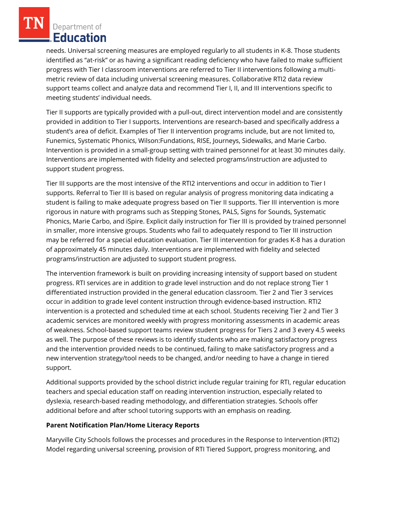needs. Universal screening measures are employed regularly to all students in K-8. Those students identified as "at-risk" or as having a significant reading deficiency who have failed to make sufficient progress with Tier I classroom interventions are referred to Tier II interventions following a multimetric review of data including universal screening measures. Collaborative RTI2 data review support teams collect and analyze data and recommend Tier I, II, and III interventions specific to meeting students' individual needs.

Tier II supports are typically provided with a pull-out, direct intervention model and are consistently provided in addition to Tier I supports. Interventions are research-based and specifically address a student's area of deficit. Examples of Tier II intervention programs include, but are not limited to, Funemics, Systematic Phonics, Wilson:Fundations, RISE, Journeys, Sidewalks, and Marie Carbo. Intervention is provided in a small-group setting with trained personnel for at least 30 minutes daily. Interventions are implemented with fidelity and selected programs/instruction are adjusted to support student progress.

Tier III supports are the most intensive of the RTI2 interventions and occur in addition to Tier I supports. Referral to Tier III is based on regular analysis of progress monitoring data indicating a student is failing to make adequate progress based on Tier II supports. Tier III intervention is more rigorous in nature with programs such as Stepping Stones, PALS, Signs for Sounds, Systematic Phonics, Marie Carbo, and iSpire. Explicit daily instruction for Tier III is provided by trained personnel in smaller, more intensive groups. Students who fail to adequately respond to Tier III instruction may be referred for a special education evaluation. Tier III intervention for grades K-8 has a duration of approximately 45 minutes daily. Interventions are implemented with fidelity and selected programs/instruction are adjusted to support student progress.

The intervention framework is built on providing increasing intensity of support based on student progress. RTI services are in addition to grade level instruction and do not replace strong Tier 1 differentiated instruction provided in the general education classroom. Tier 2 and Tier 3 services occur in addition to grade level content instruction through evidence-based instruction. RTI2 intervention is a protected and scheduled time at each school. Students receiving Tier 2 and Tier 3 academic services are monitored weekly with progress monitoring assessments in academic areas of weakness. School-based support teams review student progress for Tiers 2 and 3 every 4.5 weeks as well. The purpose of these reviews is to identify students who are making satisfactory progress and the intervention provided needs to be continued, failing to make satisfactory progress and a new intervention strategy/tool needs to be changed, and/or needing to have a change in tiered support.

Additional supports provided by the school district include regular training for RTI, regular education teachers and special education staff on reading intervention instruction, especially related to dyslexia, research-based reading methodology, and differentiation strategies. Schools offer additional before and after school tutoring supports with an emphasis on reading.

#### **Parent Notification Plan/Home Literacy Reports**

Maryville City Schools follows the processes and procedures in the Response to Intervention (RTI2) Model regarding universal screening, provision of RTI Tiered Support, progress monitoring, and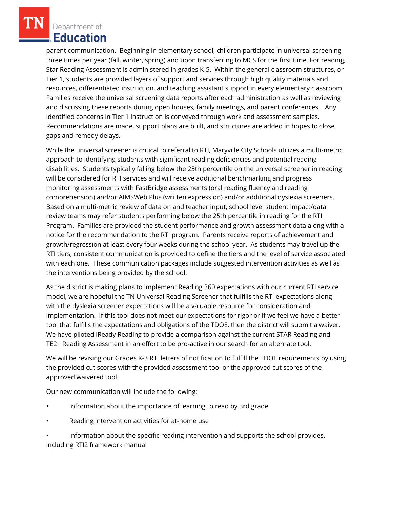parent communication. Beginning in elementary school, children participate in universal screening three times per year (fall, winter, spring) and upon transferring to MCS for the first time. For reading, Star Reading Assessment is administered in grades K-5. Within the general classroom structures, or Tier 1, students are provided layers of support and services through high quality materials and resources, differentiated instruction, and teaching assistant support in every elementary classroom. Families receive the universal screening data reports after each administration as well as reviewing and discussing these reports during open houses, family meetings, and parent conferences. Any identified concerns in Tier 1 instruction is conveyed through work and assessment samples. Recommendations are made, support plans are built, and structures are added in hopes to close gaps and remedy delays.

While the universal screener is critical to referral to RTI, Maryville City Schools utilizes a multi-metric approach to identifying students with significant reading deficiencies and potential reading disabilities. Students typically falling below the 25th percentile on the universal screener in reading will be considered for RTI services and will receive additional benchmarking and progress monitoring assessments with FastBridge assessments (oral reading fluency and reading comprehension) and/or AIMSWeb Plus (written expression) and/or additional dyslexia screeners. Based on a multi-metric review of data on and teacher input, school level student impact/data review teams may refer students performing below the 25th percentile in reading for the RTI Program. Families are provided the student performance and growth assessment data along with a notice for the recommendation to the RTI program. Parents receive reports of achievement and growth/regression at least every four weeks during the school year. As students may travel up the RTI tiers, consistent communication is provided to define the tiers and the level of service associated with each one. These communication packages include suggested intervention activities as well as the interventions being provided by the school.

As the district is making plans to implement Reading 360 expectations with our current RTI service model, we are hopeful the TN Universal Reading Screener that fulfills the RTI expectations along with the dyslexia screener expectations will be a valuable resource for consideration and implementation. If this tool does not meet our expectations for rigor or if we feel we have a better tool that fulfills the expectations and obligations of the TDOE, then the district will submit a waiver. We have piloted iReady Reading to provide a comparison against the current STAR Reading and TE21 Reading Assessment in an effort to be pro-active in our search for an alternate tool.

We will be revising our Grades K-3 RTI letters of notification to fulfill the TDOE requirements by using the provided cut scores with the provided assessment tool or the approved cut scores of the approved waivered tool.

Our new communication will include the following:

- Information about the importance of learning to read by 3rd grade
- Reading intervention activities for at-home use

• Information about the specific reading intervention and supports the school provides, including RTI2 framework manual